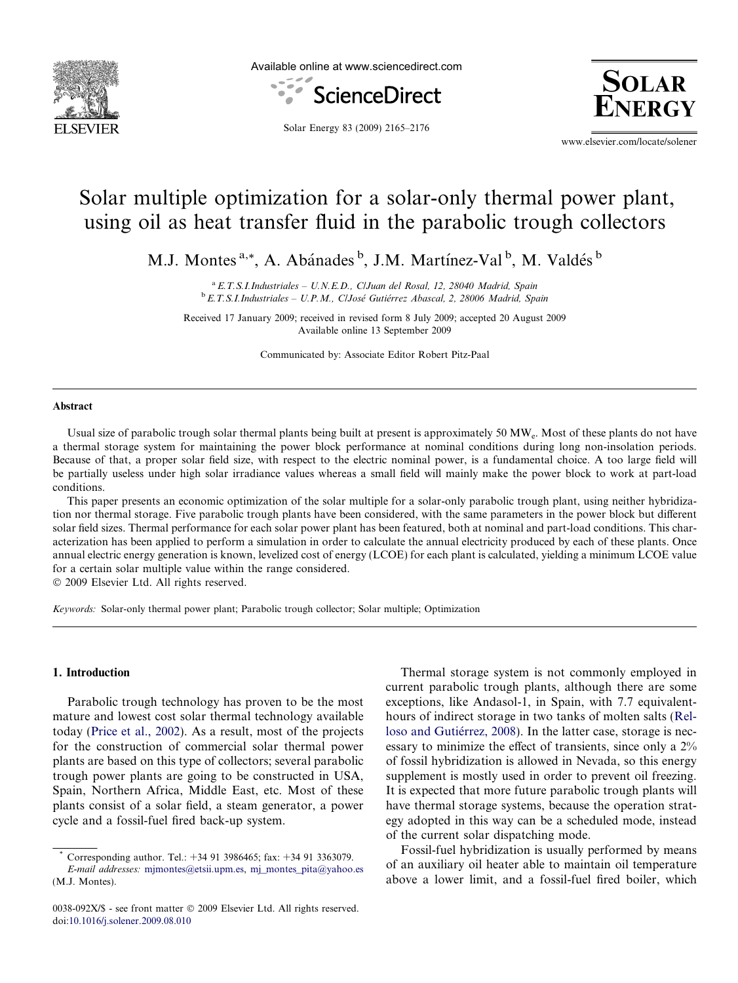

Available online at www.sciencedirect.com





Solar Energy 83 (2009) 2165–2176

www.elsevier.com/locate/solener

# Solar multiple optimization for a solar-only thermal power plant, using oil as heat transfer fluid in the parabolic trough collectors

M.J. Montes<sup>a,\*</sup>, A. Abánades<sup>b</sup>, J.M. Martínez-Val<sup>b</sup>, M. Valdés<sup>b</sup>

<sup>a</sup> E.T.S.I. Industriales - U.N.E.D., C/Juan del Rosal, 12, 28040 Madrid, Spain  $b$  E.T.S.I.Industriales - U.P.M., ClJosé Gutiérrez Abascal, 2, 28006 Madrid, Spain

Received 17 January 2009; received in revised form 8 July 2009; accepted 20 August 2009 Available online 13 September 2009

Communicated by: Associate Editor Robert Pitz-Paal

#### Abstract

Usual size of parabolic trough solar thermal plants being built at present is approximately 50 MWe. Most of these plants do not have a thermal storage system for maintaining the power block performance at nominal conditions during long non-insolation periods. Because of that, a proper solar field size, with respect to the electric nominal power, is a fundamental choice. A too large field will be partially useless under high solar irradiance values whereas a small field will mainly make the power block to work at part-load conditions.

This paper presents an economic optimization of the solar multiple for a solar-only parabolic trough plant, using neither hybridization nor thermal storage. Five parabolic trough plants have been considered, with the same parameters in the power block but different solar field sizes. Thermal performance for each solar power plant has been featured, both at nominal and part-load conditions. This characterization has been applied to perform a simulation in order to calculate the annual electricity produced by each of these plants. Once annual electric energy generation is known, levelized cost of energy (LCOE) for each plant is calculated, yielding a minimum LCOE value for a certain solar multiple value within the range considered.

- 2009 Elsevier Ltd. All rights reserved.

Keywords: Solar-only thermal power plant; Parabolic trough collector; Solar multiple; Optimization

### 1. Introduction

Parabolic trough technology has proven to be the most mature and lowest cost solar thermal technology available today [\(Price et al., 2002](#page--1-0)). As a result, most of the projects for the construction of commercial solar thermal power plants are based on this type of collectors; several parabolic trough power plants are going to be constructed in USA, Spain, Northern Africa, Middle East, etc. Most of these plants consist of a solar field, a steam generator, a power cycle and a fossil-fuel fired back-up system.

Thermal storage system is not commonly employed in current parabolic trough plants, although there are some exceptions, like Andasol-1, in Spain, with 7.7 equivalenthours of indirect storage in two tanks of molten salts [\(Rel](#page--1-0)loso and Gutiérrez, 2008). In the latter case, storage is necessary to minimize the effect of transients, since only a 2% of fossil hybridization is allowed in Nevada, so this energy supplement is mostly used in order to prevent oil freezing. It is expected that more future parabolic trough plants will have thermal storage systems, because the operation strategy adopted in this way can be a scheduled mode, instead of the current solar dispatching mode.

Fossil-fuel hybridization is usually performed by means of an auxiliary oil heater able to maintain oil temperature above a lower limit, and a fossil-fuel fired boiler, which

Corresponding author. Tel.: +34 91 3986465; fax: +34 91 3363079. E-mail addresses: [mjmontes@etsii.upm.es,](mailto:mjmontes@etsii.upm.es) [mj\\_montes\\_pita@yahoo.es](mailto:mj_montes_pita@yahoo.es) (M.J. Montes).

<sup>0038-092</sup>X/\$ - see front matter © 2009 Elsevier Ltd. All rights reserved. doi:[10.1016/j.solener.2009.08.010](http://dx.doi.org/10.1016/j.solener.2009.08.010)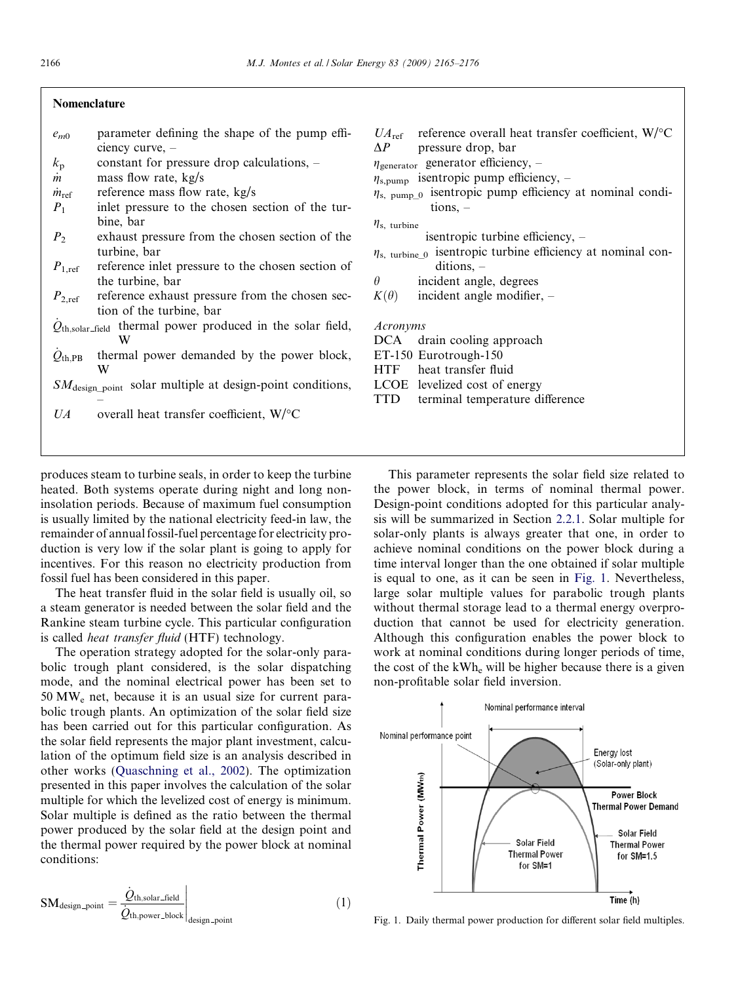### Nomenclature

–

- $e_{m0}$  parameter defining the shape of the pump efficiency curve, –
- $k<sub>p</sub>$  constant for pressure drop calculations, –
- $\dot{m}$  mass flow rate, kg/s
- $\dot{m}_{\text{ref}}$  reference mass flow rate, kg/s
- $P_1$  inlet pressure to the chosen section of the turbine, bar
- $P<sub>2</sub>$  exhaust pressure from the chosen section of the turbine, bar
- $P_{1,ref}$  reference inlet pressure to the chosen section of the turbine, bar
- $P_{2,\text{ref}}$  reference exhaust pressure from the chosen section of the turbine, bar
- $\dot{Q}_{\text{th,solar-field}}$  thermal power produced in the solar field, W
- $\dot{\mathcal{Q}}_{\text{th,PB}}$  thermal power demanded by the power block, W
- $SM_{\text{design\_point}}$  solar multiple at design-point conditions,
- $UA$  overall heat transfer coefficient,  $W$ <sup>o</sup>C

produces steam to turbine seals, in order to keep the turbine heated. Both systems operate during night and long noninsolation periods. Because of maximum fuel consumption is usually limited by the national electricity feed-in law, the remainder of annual fossil-fuel percentage for electricity production is very low if the solar plant is going to apply for incentives. For this reason no electricity production from fossil fuel has been considered in this paper.

The heat transfer fluid in the solar field is usually oil, so a steam generator is needed between the solar field and the Rankine steam turbine cycle. This particular configuration is called heat transfer fluid (HTF) technology.

The operation strategy adopted for the solar-only parabolic trough plant considered, is the solar dispatching mode, and the nominal electrical power has been set to 50 MWe net, because it is an usual size for current parabolic trough plants. An optimization of the solar field size has been carried out for this particular configuration. As the solar field represents the major plant investment, calculation of the optimum field size is an analysis described in other works [\(Quaschning et al., 2002\)](#page--1-0). The optimization presented in this paper involves the calculation of the solar multiple for which the levelized cost of energy is minimum. Solar multiple is defined as the ratio between the thermal power produced by the solar field at the design point and the thermal power required by the power block at nominal conditions:

$$
SM_{\text{design-point}} = \frac{\dot{Q}_{\text{th,solar\_field}}}{\dot{Q}_{\text{th,power\_block}}}\Big|_{\text{design\_point}} \tag{1}
$$

- $UA_{\text{ref}}$  reference overall heat transfer coefficient, W/ $\textdegree$ C
- $\Delta P$  pressure drop, bar

 $\eta_{\text{generator}}$  generator efficiency, -

- $\eta_{\text{s,pump}}$  isentropic pump efficiency, –
- $\eta_{s, pump\_0}$  isentropic pump efficiency at nominal conditions, –
- $\eta_{\rm s, \,\,turbine}$

isentropic turbine efficiency, –

- $\eta_{s, \text{ turbine\_0}}$  isentropic turbine efficiency at nominal conditions, –
- $\theta$  incident angle, degrees
- $K(\theta)$  incident angle modifier, –

Acronyms

DCA drain cooling approach

ET-150 Eurotrough-150

- HTF heat transfer fluid
- LCOE levelized cost of energy
- TTD terminal temperature difference

This parameter represents the solar field size related to the power block, in terms of nominal thermal power. Design-point conditions adopted for this particular analysis will be summarized in Section [2.2.1](#page--1-0). Solar multiple for solar-only plants is always greater that one, in order to achieve nominal conditions on the power block during a time interval longer than the one obtained if solar multiple is equal to one, as it can be seen in Fig. 1. Nevertheless, large solar multiple values for parabolic trough plants without thermal storage lead to a thermal energy overproduction that cannot be used for electricity generation. Although this configuration enables the power block to work at nominal conditions during longer periods of time, the cost of the kWh<sub>e</sub> will be higher because there is a given non-profitable solar field inversion.



Fig. 1. Daily thermal power production for different solar field multiples.